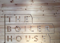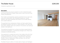## The Boiler House **E295,000**

0 bedroom apartment for sale

## **Description**

 Premier Assets are proud to present on to the market this brand new studio apartment in Boiler House which is part of the Old Vinyl Factory Development.

This modern and deceptively spacious apartment has an open plan living room kitchen/diner with intergrated appliances, double bedroom with inbuilt wardrobe and access to the private balcony and a stylish bathroom.

The apartment has contemporary finishes and high quality fixtures and fittings throughout with floor to celing windows in the open plan living area, stainless steel work surfaces in the kitchen and raincloud shower in the bathroom.

The apartment benefits from a private use timber decked balcony, communal roof gardens, a roof terrace arranged over 3 floors and underground allocated parking.

This apartment is a perfect buy as its in the middle of the Old Vinyl Factory Development, when the 17-acre regeneration scheme is completed will be home to a Museum, Music Venue, Recording Studios, Cinema, Restaurants, Shops and Bars, you will have everything on your doorstep.

The Boiler House is within a 5 minute walk to Hayes and Harlington

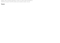Station with Crossrail expected in 2019. It is also well-connected to Heathrow Airport, the M4 corridor and Central London via car.

## **Tenure**